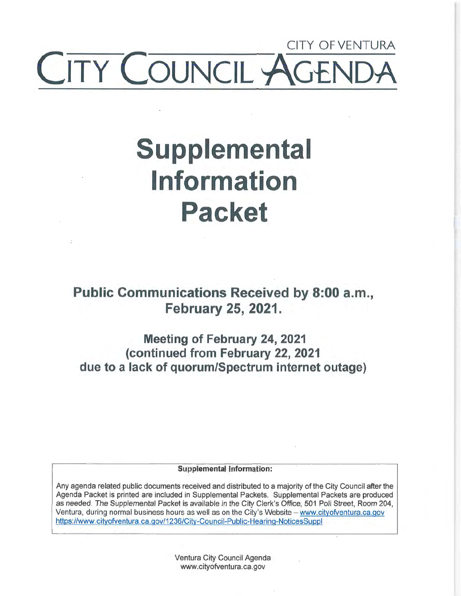# CITY OF VENTURA **TY COUNCIL Y**

# **Supplemental Information Packet**

**Public Communications Received by 8:00 a.m., February 25, 2021.** 

**Meeting of February 24, 2021 (continued from February 22, 2021 due to a lack of quorum/Spectrum internet outage)** 

**Supplemental Information:** 

Any agenda related public documents received and distributed to a majority of the City Council after the Agenda Packet is printed are included in Supplemental Packets. Supplemental Packets are produced as needed. The Supplemental Packet is available in the City Clerk's Office, 501 Poli Street, Room 204, Ventura, during normal business hours as well as on the City's Website - www.cityofventura.ca.gov https://www.cityofventura.ca.gov/1236/City-Council-Public-Hearing-NoticesSuppl

> Ventura City Council Agenda www.cityofventura.ca.gov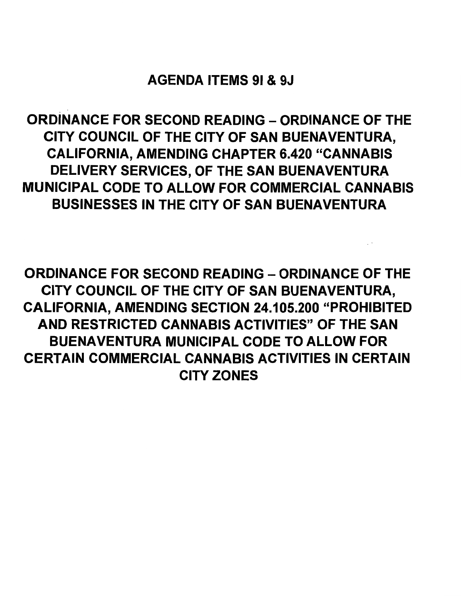AGENDA ITEMS 91 & 9J

ORDINANCE FOR SECOND READING - ORDINANCE OF THE CITY COUNCIL OF THE CITY OF SAN BUENAVENTURA, CALIFORNIA, AMENDING CHAPTER 6.420 "CANNABIS DELIVERY SERVICES, OF THE SAN BUENAVENTURA MUNICIPAL CODE TO ALLOW FOR COMMERCIAL CANNABIS BUSINESSES IN THE CITY OF SAN BUENAVENTURA

ORDINANCE FOR SECOND READING - ORDINANCE OF THE CITY COUNCIL OF THE CITY OF SAN BUENAVENTURA, CALIFORNIA, AMENDING SECTION 24.105.200 "PROHIBITED AND RESTRICTED CANNABIS ACTIVITIES" OF THE SAN BUENAVENTURA MUNICIPAL CODE TO ALLOW FOR CERTAIN COMMERCIAL CANNABIS ACTIVITIES IN CERTAIN CITY ZONES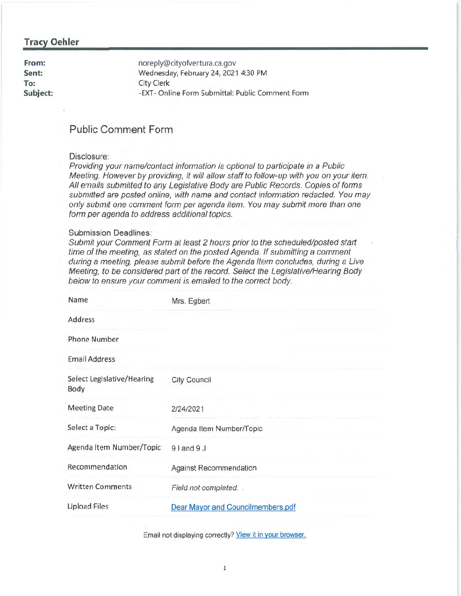## **Tracy Oehler**

**From: Sent: To: Subject:**  noreply@cityofventura.ca.gov Wednesday, February 24, 2021 4:30 PM City Clerk -EXT- Online Form Submittal: Public Comment Form

# **Public Comment Form**

#### Disclosure:

Providing your name/contact information is optional to participate in a Public Meeting. However by providing, it will allow staff to follow-up with you on your item. All emails submitted to any Legislative Body are Public Records. Copies of forms submitted are posted online, with name and contact information redacted. You may only submit one comment form per agenda item. You may submit more than one form per agenda to address additional topics.

#### Submission Deadlines:

Submit your Comment Form at least 2 hours prior to the scheduled/posted start time of the meeting, as stated on the posted Agenda. If submitting a comment during a meeting, please submit before the Agenda Item concludes, during a Live Meeting, to be considered part of the record. Select the Legislative/Hearing Body below to ensure your comment is emailed to the correct body.

| Name                               | Mrs. Egbert                              |
|------------------------------------|------------------------------------------|
| Address                            |                                          |
| <b>Phone Number</b>                |                                          |
| <b>Email Address</b>               |                                          |
| Select Legislative/Hearing<br>Body | <b>City Council</b>                      |
| <b>Meeting Date</b>                | 2/24/2021                                |
| Select a Topic:                    | Agenda Item Number/Topic                 |
| Agenda Item Number/Topic           | $9$   and $9$ J                          |
| Recommendation                     | <b>Against Recommendation</b>            |
| <b>Written Comments</b>            | Field not completed. .                   |
| <b>Upload Files</b>                | <b>Dear Mayor and Councilmembers.pdf</b> |

Email not displaying correctly? View it in your browser.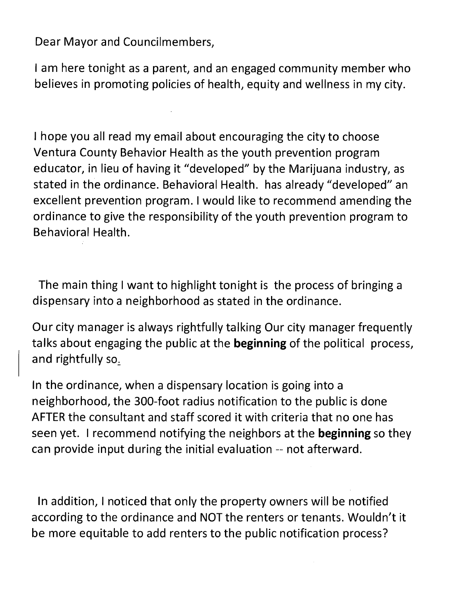Dear Mayor and Councilmembers,

I am here tonight as a parent, and an engaged community member who believes in promoting policies of health, equity and wellness in my city.

I hope you all read my email about encouraging the city to choose Ventura County Behavior Health as the youth prevention program educator, in lieu of having it "developed" by the Marijuana industry, as stated in the ordinance. Behavioral Health. has already "developed" an excellent prevention program. I would like to recommend amending the ordinance to give the responsibility of the youth prevention program to Behavioral Health.

The main thing I want to highlight tonight is the process of bringing a dispensary into a neighborhood as stated in the ordinance.

Our city manager is always rightfully talking Our city manager frequently talks about engaging the public at the **beginning** of the political process, and rightfully *so:.* 

In the ordinance, when a dispensary location is going into a neighborhood, the 300-foot radius notification to the public is done AFTER the consultant and staff scored it with criteria that no one has seen yet. I recommend notifying the neighbors at the **beginning** so they can provide input during the initial evaluation -- not afterward.

In addition, I noticed that only the property owners will be notified according to the ordinance and NOT the renters or tenants. Wouldn't it be more equitable to add renters to the public notification process?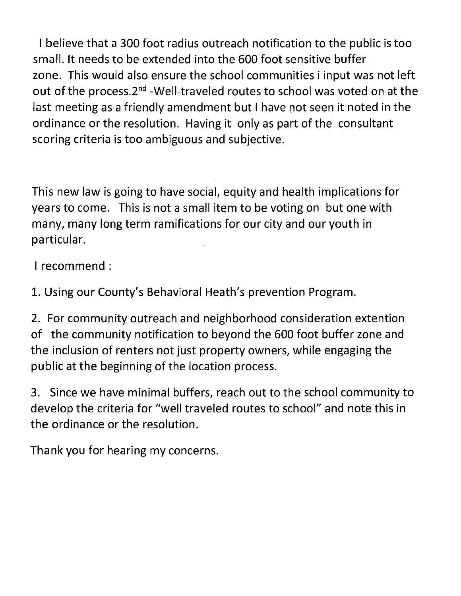I believe that a 300 foot radius outreach notification to the public is too small. It needs to be extended into the 600 foot sensitive buffer zone. This would also ensure the school communities i input was not left out of the process.2<sup>nd</sup> -Well-traveled routes to school was voted on at the last meeting as a friendly amendment but I have not seen it noted in the ordinance or the resolution. Having it only as part of the consultant scoring criteria is too ambiguous and subjective.

This new law is going to have social, equity and health implications for years to come. This is not a small item to be voting on but one with many, many long term ramifications for our city and our youth in particular.

I recommend:

1. Using our County's Behavioral Heath's prevention Program.

2. For community outreach and neighborhood consideration extention of the community notification to beyond the 600 foot buffer zone and the inclusion of renters not just property owners, while engaging the public at the beginning of the location process.

3. Since we have minimal buffers, reach out to the school community to develop the criteria for "well traveled routes to school" and note this in the ordinance or the resolution.

Thank you for hearing my concerns.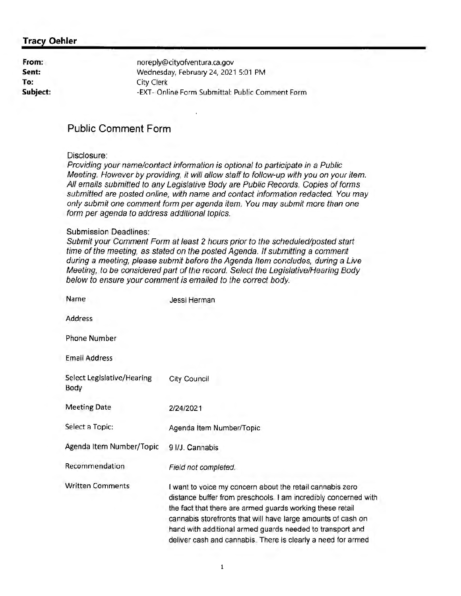# **Tracy Oehler**

| noreply@cityofventura.ca.gov                     |
|--------------------------------------------------|
| Wednesday, February 24, 2021 5:01 PM             |
| City Clerk                                       |
| -EXT- Online Form Submittal: Public Comment Form |
|                                                  |

# **Public Comment Form**

#### Disclosure:

Providing your name/contact information is optional to participate in a Public Meeting. However by providing, it will allow staff to follow-up with you on your item. All emails submitted to any Legislative Body are Public Records. Copies of forms submitted are posted online, with name and contact information redacted. You may only submit one comment form per agenda item. You may submit more than one form per agenda to address additional topics.

#### Submission Deadlines:

Submit your Comment Form at least 2 hours prior to the scheduled/posted start time of the meeting, as stated on the posted Agenda. If submitting a comment during a meeting, please submit before the Agenda Item concludes, during a Live Meeting, to be considered part of the record. Select the Legislative/Hearing Body below to ensure your comment is emailed to the correct body.

| Name                               | Jessi Herman                                                                                                                                                                                                                                                                                                                                                                           |
|------------------------------------|----------------------------------------------------------------------------------------------------------------------------------------------------------------------------------------------------------------------------------------------------------------------------------------------------------------------------------------------------------------------------------------|
| Address                            |                                                                                                                                                                                                                                                                                                                                                                                        |
| <b>Phone Number</b>                |                                                                                                                                                                                                                                                                                                                                                                                        |
| <b>Email Address</b>               |                                                                                                                                                                                                                                                                                                                                                                                        |
| Select Legislative/Hearing<br>Body | <b>City Council</b>                                                                                                                                                                                                                                                                                                                                                                    |
| <b>Meeting Date</b>                | 2/24/2021                                                                                                                                                                                                                                                                                                                                                                              |
| Select a Topic:                    | Agenda Item Number/Topic                                                                                                                                                                                                                                                                                                                                                               |
| Agenda Item Number/Topic           | 9 I/J. Cannabis                                                                                                                                                                                                                                                                                                                                                                        |
| Recommendation                     | Field not completed.                                                                                                                                                                                                                                                                                                                                                                   |
| <b>Written Comments</b>            | I want to voice my concern about the retail cannabis zero<br>distance buffer from preschools. I am incredibly concerned with<br>the fact that there are armed guards working these retail<br>cannabis storefronts that will have large amounts of cash on<br>hand with additional armed guards needed to transport and<br>deliver cash and cannabis. There is clearly a need for armed |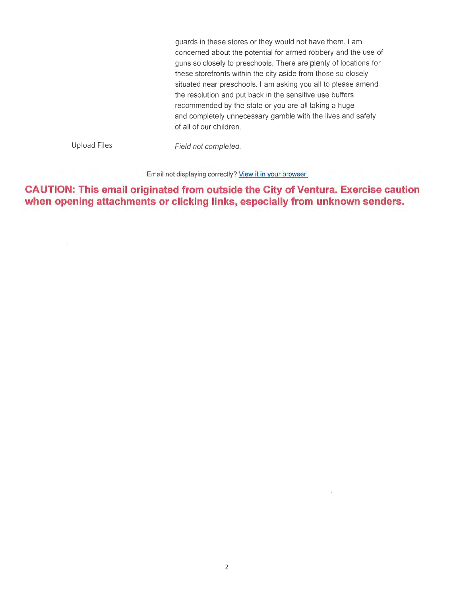guards in these stores or they would not have them. I am concerned about the potential for armed robbery and the use of guns so closely to preschools. There are plenty of locations for these storefronts within the city aside from those so closely situated near preschools. I am asking you all to please amend the resolution and put back in the sensitive use buffers recommended by the state or you are all taking a huge and completely unnecessary gamble with the lives and safety of all of our ch ildren.

Upload Files

 $\mathbb{R}^2$ 

Field not completed.

Email not displaying correctly? View it in your browser.

**CAUTION: This email originated from outside the City of Ventura. Exercise caution when opening attachments or clicking links, especially from unknown senders.**